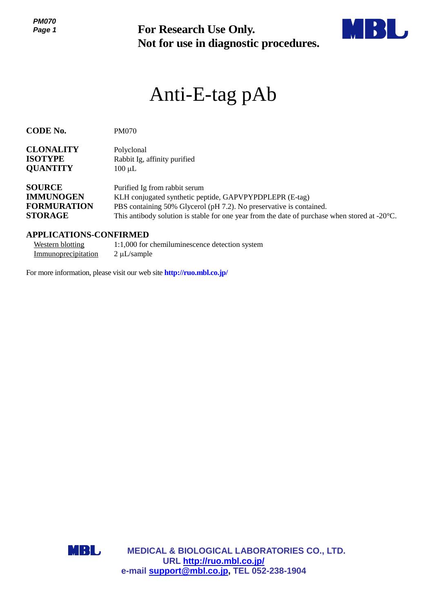*PM070 Page 1*



# Anti-E-tag pAb

| ט וטוויו<br>Page 1                                                              | For Research Use Only.<br>Not for use in diagnostic procedures.                                                                                                                                                                                                            |
|---------------------------------------------------------------------------------|----------------------------------------------------------------------------------------------------------------------------------------------------------------------------------------------------------------------------------------------------------------------------|
|                                                                                 | Anti-E-tag pAb                                                                                                                                                                                                                                                             |
| <b>CODE No.</b>                                                                 | <b>PM070</b>                                                                                                                                                                                                                                                               |
| <b>CLONALITY</b><br><b>ISOTYPE</b><br><b>QUANTITY</b>                           | Polyclonal<br>Rabbit Ig, affinity purified<br>$100 \mu L$                                                                                                                                                                                                                  |
| <b>SOURCE</b><br><b>IMMUNOGEN</b><br><b>FORMURATION</b><br><b>STORAGE</b>       | Purified Ig from rabbit serum<br>KLH conjugated synthetic peptide, GAPVPYPDPLEPR (E-tag)<br>PBS containing 50% Glycerol (pH 7.2). No preservative is contained.<br>This antibody solution is stable for one year from the date of purchase when stored at $-20^{\circ}$ C. |
| <b>APPLICATIONS-CONFIRMED</b><br><b>Western blotting</b><br>Immunoprecipitation | 1:1,000 for chemiluminescence detection system<br>$2 \mu L$ /sample                                                                                                                                                                                                        |
|                                                                                 | For more information, please visit our web site http://ruo.mbl.co.jp/                                                                                                                                                                                                      |
|                                                                                 |                                                                                                                                                                                                                                                                            |
|                                                                                 |                                                                                                                                                                                                                                                                            |
|                                                                                 |                                                                                                                                                                                                                                                                            |
|                                                                                 |                                                                                                                                                                                                                                                                            |
|                                                                                 |                                                                                                                                                                                                                                                                            |
|                                                                                 |                                                                                                                                                                                                                                                                            |
|                                                                                 |                                                                                                                                                                                                                                                                            |
|                                                                                 |                                                                                                                                                                                                                                                                            |
|                                                                                 |                                                                                                                                                                                                                                                                            |
| MBL                                                                             | MEDICAL & BIOLOGICAL LABORATORIES CO., LTD.<br>URL http://ruo.mbl.co.jp/                                                                                                                                                                                                   |
|                                                                                 | e-mail support@mbl.co.jp, TEL 052-238-1904                                                                                                                                                                                                                                 |

#### **APPLICATIONS-CONFIRMED**

| Western blotting    | 1:1,000 for chemiluminescence detection system |
|---------------------|------------------------------------------------|
| Immunoprecipitation | $2 \mu L$ /sample                              |

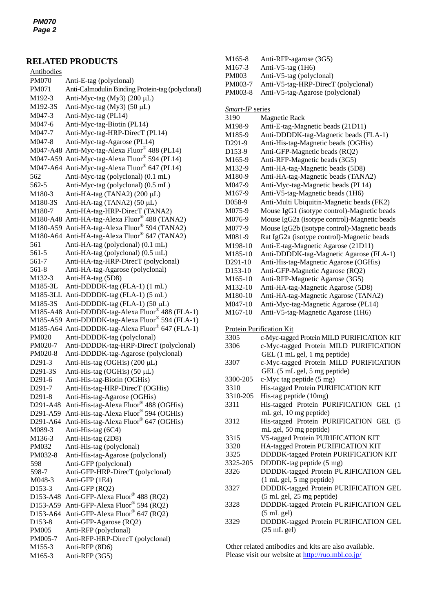## **RELATED PRODUCTS**

| Antibodies          |                                                                                |
|---------------------|--------------------------------------------------------------------------------|
| <b>PM070</b>        | Anti-E-tag (polyclonal)                                                        |
| PM071               | Anti-Calmodulin Binding Protein-tag (polyclonal)                               |
| M192-3              | Anti-Myc-tag (My3) (200 µL)                                                    |
| M192-3S             | Anti-Myc-tag (My3) (50 µL)                                                     |
| M047-3              | Anti-Myc-tag (PL14)                                                            |
| M047-6              | Anti-Myc-tag-Biotin (PL14)                                                     |
| M047-7              | Anti-Myc-tag-HRP-DirecT (PL14)                                                 |
| M047-8              | Anti-Myc-tag-Agarose (PL14)                                                    |
| M047-A48            | Anti-Myc-tag-Alexa Fluor® 488 (PL14)                                           |
|                     | M047-A59 Anti-Myc-tag-Alexa Fluor® 594 (PL14)                                  |
|                     | M047-A64 Anti-Myc-tag-Alexa Fluor® 647 (PL14)                                  |
|                     |                                                                                |
| 562                 | Anti-Myc-tag (polyclonal) (0.1 mL)                                             |
| 562-5               | Anti-Myc-tag (polyclonal) (0.5 mL)                                             |
| M180-3              | Anti-HA-tag (TANA2) (200 µL)                                                   |
| M180-3S             | Anti-HA-tag (TANA2) (50 µL)                                                    |
| M180-7              | Anti-HA-tag-HRP-DirecT (TANA2)                                                 |
|                     | M180-A48 Anti-HA-tag-Alexa Fluor® 488 (TANA2)                                  |
|                     | M180-A59 Anti-HA-tag-Alexa Fluor® 594 (TANA2)                                  |
|                     | M180-A64 Anti-HA-tag-Alexa Fluor® 647 (TANA2)                                  |
| 561                 | Anti-HA-tag (polyclonal) (0.1 mL)                                              |
| 561-5               | Anti-HA-tag (polyclonal) (0.5 mL)                                              |
| 561-7               | Anti-HA-tag-HRP-DirecT (polyclonal)                                            |
| 561-8               | Anti-HA-tag-Agarose (polyclonal)                                               |
| M132-3              | Anti-HA-tag (5D8)                                                              |
| M185-3L             | Anti-DDDDK-tag (FLA-1) (1 mL)                                                  |
| M185-3LL            | Anti-DDDDK-tag (FLA-1) (5 mL)                                                  |
| M185-3S             | Anti-DDDDK-tag (FLA-1) (50 µL)                                                 |
| M185-A48            | Anti-DDDDK-tag-Alexa Fluor® 488 (FLA-1)                                        |
| M185-A59            | Anti-DDDDK-tag-Alexa Fluor® 594 (FLA-1)                                        |
| M185-A64            | Anti-DDDDK-tag-Alexa Fluor® 647 (FLA-1)                                        |
| <b>PM020</b>        | Anti-DDDDK-tag (polyclonal)                                                    |
| PM020-7             | Anti-DDDDK-tag-HRP-DirecT (polyclonal)                                         |
| PM020-8             | Anti-DDDDK-tag-Agarose (polyclonal)                                            |
| D291-3              | Anti-His-tag (OGHis) (200 μL)                                                  |
| D291-3S             | Anti-His-tag (OGHis) (50 µL)                                                   |
| D291-6              | Anti-His-tag-Biotin (OGHis)                                                    |
| D <sub>291</sub> -7 | Anti-His-tag-HRP-DirecT (OGHis)                                                |
| D291-8              | Anti-His-tag-Agarose (OGHis)                                                   |
| D291-A48            | Anti-His-tag-Alexa Fluor® 488 (OGHis)                                          |
| D291-A59            |                                                                                |
| D291-A64            | Anti-His-tag-Alexa Fluor® 594 (OGHis)<br>Anti-His-tag-Alexa Fluor® 647 (OGHis) |
| M089-3              | Anti-His-tag (6C4)                                                             |
| M136-3              | Anti-His-tag (2D8)                                                             |
| PM032               | Anti-His-tag (polyclonal)                                                      |
| PM032-8             | Anti-His-tag-Agarose (polyclonal)                                              |
| 598                 | Anti-GFP (polyclonal)                                                          |
| 598-7               | Anti-GFP-HRP-DirecT (polyclonal)                                               |
| M048-3              | Anti-GFP (1E4)                                                                 |
| D153-3              |                                                                                |
|                     | Anti-GFP (RQ2)<br>Anti-GFP-Alexa Fluor® 488 (RQ2)                              |
| D153-A48            | Anti-GFP-Alexa Fluor® 594 (RQ2)                                                |
| D153-A59            |                                                                                |
| D153-A64            | Anti-GFP-Alexa Fluor® 647 (RQ2)                                                |
| D153-8              | Anti-GFP-Agarose (RQ2)                                                         |
| PM005               | Anti-RFP (polyclonal)                                                          |
| PM005-7             | Anti-RFP-HRP-DirecT (polyclonal)                                               |
| M155-3              | Anti-RFP (8D6)                                                                 |
| M165-3              | Anti-RFP (3G5)                                                                 |

| M165-8               | Anti-RFP-agarose (3G5)                       |
|----------------------|----------------------------------------------|
| M <sub>167</sub> -3  | Anti-V5-tag (1H6)                            |
| PM003                | Anti-V5-tag (polyclonal)                     |
| PM003-7              | Anti-V5-tag-HRP-DirecT (polyclonal)          |
| PM003-8              | Anti-V5-tag-Agarose (polyclonal)             |
|                      |                                              |
| Smart-IP series      |                                              |
| 3190                 | <b>Magnetic Rack</b>                         |
|                      |                                              |
| M198-9               | Anti-E-tag-Magnetic beads (21D11)            |
| M185-9               | Anti-DDDDK-tag-Magnetic beads (FLA-1)        |
| D291-9               | Anti-His-tag-Magnetic beads (OGHis)          |
| D153-9               | Anti-GFP-Magnetic beads (RQ2)                |
| M165-9               | Anti-RFP-Magnetic beads (3G5)                |
| M132-9               | Anti-HA-tag-Magnetic beads (5D8)             |
| M180-9               | Anti-HA-tag-Magnetic beads (TANA2)           |
| M047-9               | Anti-Myc-tag-Magnetic beads (PL14)           |
| M <sub>167-9</sub>   | Anti-V5-tag-Magnetic beads (1H6)             |
| D058-9               | Anti-Multi Ubiquitin-Magnetic beads (FK2)    |
| M075-9               | Mouse IgG1 (isotype control)-Magnetic beads  |
| M076-9               | Mouse IgG2a (isotype control)-Magnetic beads |
|                      |                                              |
| M077-9               | Mouse IgG2b (isotype control)-Magnetic beads |
| M081-9               | Rat IgG2a (isotype control)-Magnetic beads   |
| M198-10              | Anti-E-tag-Magnetic Agarose (21D11)          |
| M185-10              | Anti-DDDDK-tag-Magnetic Agarose (FLA-1)      |
| D <sub>291</sub> -10 | Anti-His-tag-Magnetic Agarose (OGHis)        |
| D153-10              | Anti-GFP-Magnetic Agarose (RQ2)              |
| M165-10              | Anti-RFP-Magnetic Agarose (3G5)              |
| M132-10              | Anti-HA-tag-Magnetic Agarose (5D8)           |
| M180-10              | Anti-HA-tag-Magnetic Agarose (TANA2)         |
| M047-10              | Anti-Myc-tag-Magnetic Agarose (PL14)         |
| M167-10              | Anti-V5-tag-Magnetic Agarose (1H6)           |
|                      |                                              |
|                      | <b>Protein Purification Kit</b>              |
| 3305                 | c-Myc-tagged Protein MILD PURIFICATION KIT   |
| 3306                 | c-Myc-tagged Protein MILD PURIFICATION       |
|                      |                                              |
|                      | GEL (1 mL gel, 1 mg peptide)                 |
| 3307                 | c-Myc-tagged Protein MILD PURIFICATION       |
|                      | GEL (5 mL gel, 5 mg peptide)                 |
| 3300-205             | c-Myc tag peptide (5 mg)                     |
| 3310                 | His-tagged Protein PURIFICATION KIT          |
| 3310-205             | His-tag peptide (10mg)                       |
| 3311                 | His-tagged Protein PURIFICATION GEL (1       |
|                      | mL gel, 10 mg peptide)                       |
| 3312                 | His-tagged Protein PURIFICATION GEL (5       |
|                      | mL gel, 50 mg peptide)                       |
| 3315                 | V5-tagged Protein PURIFICATION KIT           |
| 3320                 | HA-tagged Protein PURIFICATION KIT           |
| 3325                 | DDDDK-tagged Protein PURIFICATION KIT        |
| 3325-205             | DDDDK-tag peptide (5 mg)                     |
| 3326                 | DDDDK-tagged Protein PURIFICATION GEL        |
|                      |                                              |

- (1 mL gel, 5 mg peptide) 3327 DDDDK-tagged Protein PURIFICATION GEL (5 mL gel, 25 mg peptide) 3328 DDDDK-tagged Protein PURIFICATION GEL
	- (5 mL gel)
- 3329 DDDDK-tagged Protein PURIFICATION GEL  $(25 \text{ mL gel})$

Other related antibodies and kits are also available. Please visit our website at http://ruo.[mbl.co.jp/](http://ruo.mbl.co.jp/)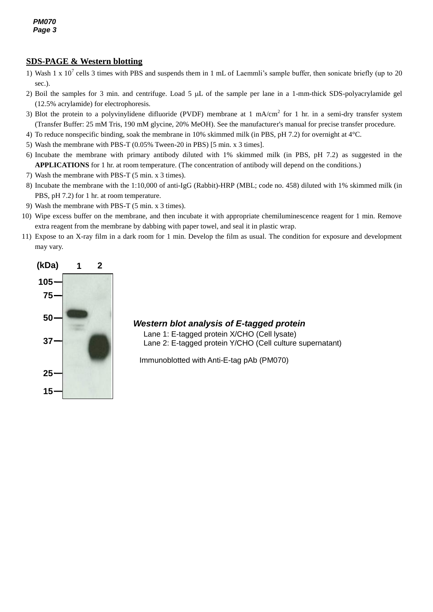### **SDS-PAGE & Western blotting**

- 1) Wash 1 x  $10^7$  cells 3 times with PBS and suspends them in 1 mL of Laemmli's sample buffer, then sonicate briefly (up to 20 sec.).
- 2) Boil the samples for 3 min. and centrifuge. Load 5  $\mu$ L of the sample per lane in a 1-mm-thick SDS-polyacrylamide gel (12.5% acrylamide) for electrophoresis.
- 3) Blot the protein to a polyvinylidene difluoride (PVDF) membrane at 1 mA/cm<sup>2</sup> for 1 hr. in a semi-dry transfer system (Transfer Buffer: 25 mM Tris, 190 mM glycine, 20% MeOH). See the manufacturer's manual for precise transfer procedure.
- 4) To reduce nonspecific binding, soak the membrane in 10% skimmed milk (in PBS, pH 7.2) for overnight at 4°C.
- 5) Wash the membrane with PBS-T (0.05% Tween-20 in PBS) [5 min. x 3 times].
- 6) Incubate the membrane with primary antibody diluted with 1% skimmed milk (in PBS, pH 7.2) as suggested in the **APPLICATIONS** for 1 hr. at room temperature. (The concentration of antibody will depend on the conditions.)
- 7) Wash the membrane with PBS-T (5 min. x 3 times).
- 8) Incubate the membrane with the 1:10,000 of anti-IgG (Rabbit)-HRP (MBL; code no. 458) diluted with 1% skimmed milk (in PBS, pH 7.2) for 1 hr. at room temperature.
- 9) Wash the membrane with PBS-T (5 min. x 3 times).
- 10) Wipe excess buffer on the membrane, and then incubate it with appropriate chemiluminescence reagent for 1 min. Remove extra reagent from the membrane by dabbing with paper towel, and seal it in plastic wrap.
- 11) Expose to an X-ray film in a dark room for 1 min. Develop the film as usual. The condition for exposure and development may vary.



## *Western blot analysis of E-tagged protein*

Lane 1: E-tagged protein X/CHO (Cell lysate) Lane 2: E-tagged protein Y/CHO (Cell culture supernatant)

Immunoblotted with Anti-E-tag pAb (PM070)